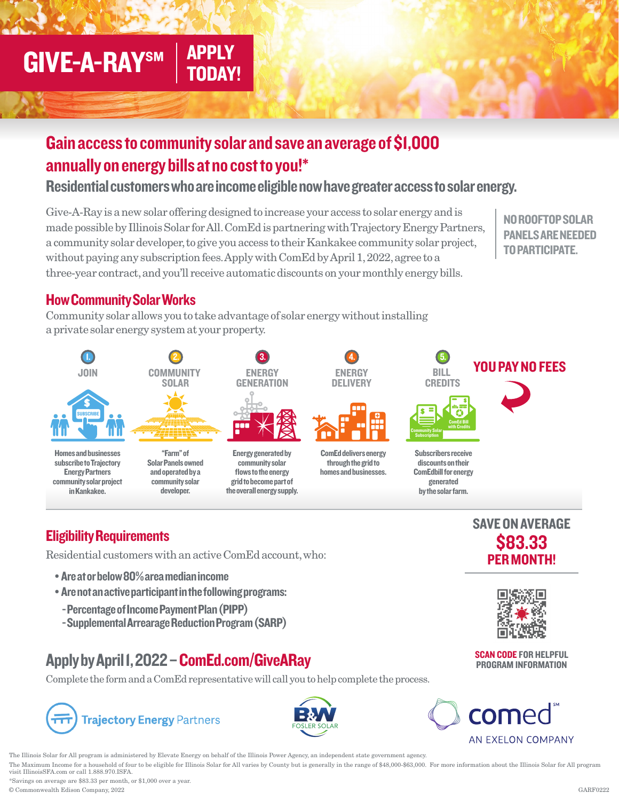# **GIVE-A-RAYSM**

### Gain access to community solar and save an average of \$1,000 annually on energy bills at no cost to you!\*

APPLY TODAY!

Residential customers who are income eligible now have greater access to solar energy.

Give-A-Ray is a new solar offering designed to increase your access to solar energy and is made possible by Illinois Solar for All. ComEd is partnering with Trajectory Energy Partners, a community solar developer, to give you access to their Kankakee community solar project, without paying any subscription fees. Apply with ComEd by April 1, 2022, agree to a three-year contract, and you'll receive automatic discounts on your monthly energy bills.

NO ROOFTOP SOLAR PANELS ARE NEEDED TO PARTICIPATE.

#### How Community Solar Works

Community solar allows you to take advantage of solar energy without installing a private solar energy system at your property.



### Eligibility Requirements

Residential customers with an active ComEd account, who:

- Are at or below 80% area median income
- Are not an active participant in the following programs:
	- Percentage of Income Payment Plan (PIPP)
	- Supplemental Arrearage Reduction Program (SARP)

### Apply by April 1, 2022 – ComEd.com/GiveARay

Complete the form and a ComEd representative will call you to help complete the process.

## **Trajectory Energy Partners**



come

The Illinois Solar for All program is administered by Elevate Energy on behalf of the Illinois Power Agency, an independent state government agency.

The Maximum Income for a household of four to be eligible for Illinois Solar for All varies by County but is generally in the range of \$48,000-\$63,000. For more information about the Illinois Solar for All program visit IllinoisSFA.com or call 1.888.970.ISFA.

\*Savings on average are \$83.33 per month, or \$1,000 over a year. © Commonwealth Edison Company, 2022 GARF0222



SAVE ON AVERAGE \$83.33



SCAN CODE FOR HELPFUL PROGRAM INFORMATION